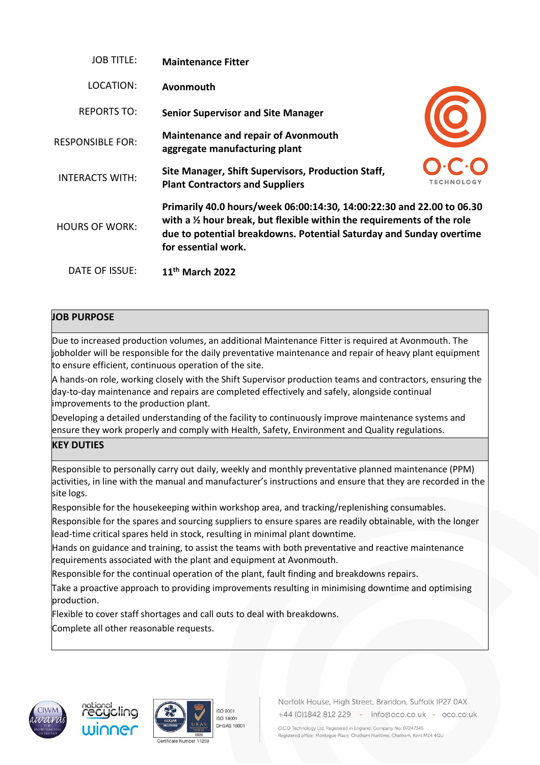| <b>JOB TITLE:</b>       | <b>Maintenance Fitter</b>                                                                                                                                                                                                                                |                   |
|-------------------------|----------------------------------------------------------------------------------------------------------------------------------------------------------------------------------------------------------------------------------------------------------|-------------------|
| LOCATION:               | Avonmouth                                                                                                                                                                                                                                                |                   |
| <b>REPORTS TO:</b>      | <b>Senior Supervisor and Site Manager</b>                                                                                                                                                                                                                |                   |
| <b>RESPONSIBLE FOR:</b> | <b>Maintenance and repair of Avonmouth</b><br>aggregate manufacturing plant                                                                                                                                                                              |                   |
| <b>INTERACTS WITH:</b>  | Site Manager, Shift Supervisors, Production Staff,<br><b>Plant Contractors and Suppliers</b>                                                                                                                                                             | <b>TECHNOLOGY</b> |
| <b>HOURS OF WORK:</b>   | Primarily 40.0 hours/week 06:00:14:30, 14:00:22:30 and 22.00 to 06.30<br>with a $\frac{1}{2}$ hour break, but flexible within the requirements of the role<br>due to potential breakdowns. Potential Saturday and Sunday overtime<br>for essential work. |                   |
| DATE OF ISSUE:          | $11th$ March 2022                                                                                                                                                                                                                                        |                   |

# **JOB PURPOSE**

Due to increased production volumes, an additional Maintenance Fitter is required at Avonmouth. The jobholder will be responsible for the daily preventative maintenance and repair of heavy plant equipment to ensure efficient, continuous operation of the site.

A hands-on role, working closely with the Shift Supervisor production teams and contractors, ensuring the day-to-day maintenance and repairs are completed effectively and safely, alongside continual improvements to the production plant.

Developing a detailed understanding of the facility to continuously improve maintenance systems and ensure they work properly and comply with Health, Safety, Environment and Quality regulations.

# **KEY DUTIES**

Responsible to personally carry out daily, weekly and monthly preventative planned maintenance (PPM) activities, in line with the manual and manufacturer's instructions and ensure that they are recorded in the site logs.

Responsible for the housekeeping within workshop area, and tracking/replenishing consumables.

Responsible for the spares and sourcing suppliers to ensure spares are readily obtainable, with the longer lead-time critical spares held in stock, resulting in minimal plant downtime.

Hands on guidance and training, to assist the teams with both preventative and reactive maintenance requirements associated with the plant and equipment at Avonmouth.

Responsible for the continual operation of the plant, fault finding and breakdowns repairs.

Take a proactive approach to providing improvements resulting in minimising downtime and optimising production.

Flexible to cover staff shortages and call outs to deal with breakdowns.

Complete all other reasonable requests.









Norfolk House, High Street, Brandon, Suffolk IP27 0AX +44 (0)1842 812 229 - info@oco.co.uk - oco.co.uk

O.C.O Technology Ltd. Registered in England. Company No: 07247345 Registered office: Montague Place, Chatham Maritime, Chatham, Kent ME4 4QU